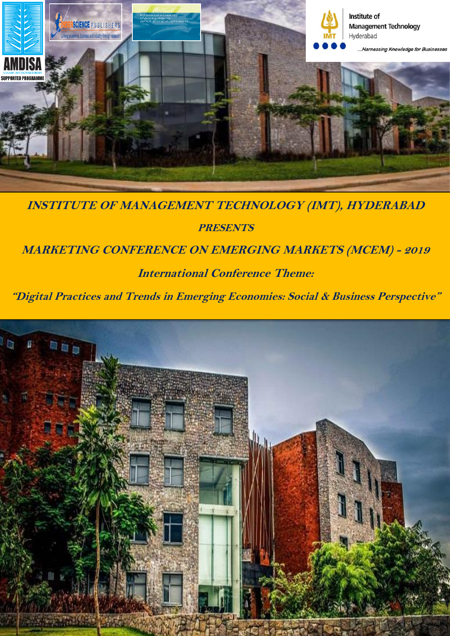

# **INSTITUTE OF MANAGEMENT TECHNOLOGY (IMT), HYDERABAD**

### **PRESENTS**

## **MARKETING CONFERENCE ON EMERGING MARKETS (MCEM) - <sup>2019</sup>**

## **International Conference Theme:**

**"Digital Practices and Trends in Emerging Economies: Social & Business Perspective"**

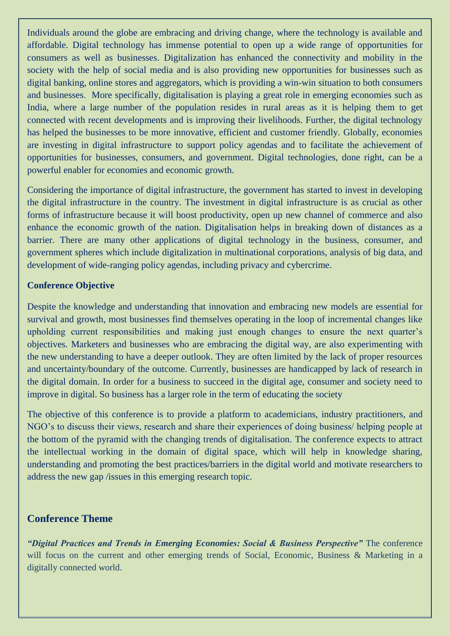Individuals around the globe are embracing and driving change, where the technology is available and affordable. Digital technology has immense potential to open up a wide range of opportunities for consumers as well as businesses. Digitalization has enhanced the connectivity and mobility in the society with the help of social media and is also providing new opportunities for businesses such as digital banking, online stores and aggregators, which is providing a win-win situation to both consumers and businesses. More specifically, digitalisation is playing a great role in emerging economies such as India, where a large number of the population resides in rural areas as it is helping them to get connected with recent developments and is improving their livelihoods. Further, the digital technology has helped the businesses to be more innovative, efficient and customer friendly. Globally, economies are investing in digital infrastructure to support policy agendas and to facilitate the achievement of opportunities for businesses, consumers, and government. Digital technologies, done right, can be a powerful enabler for economies and economic growth.

Considering the importance of digital infrastructure, the government has started to invest in developing the digital infrastructure in the country. The investment in digital infrastructure is as crucial as other forms of infrastructure because it will boost productivity, open up new channel of commerce and also enhance the economic growth of the nation. Digitalisation helps in breaking down of distances as a barrier. There are many other applications of digital technology in the business, consumer, and government spheres which include digitalization in multinational corporations, analysis of big data, and development of wide-ranging policy agendas, including privacy and cybercrime.

#### **Conference Objective**

Despite the knowledge and understanding that innovation and embracing new models are essential for survival and growth, most businesses find themselves operating in the loop of incremental changes like upholding current responsibilities and making just enough changes to ensure the next quarter's objectives. Marketers and businesses who are embracing the digital way, are also experimenting with the new understanding to have a deeper outlook. They are often limited by the lack of proper resources and uncertainty/boundary of the outcome. Currently, businesses are handicapped by lack of research in the digital domain. In order for a business to succeed in the digital age, consumer and society need to improve in digital. So business has a larger role in the term of educating the society

The objective of this conference is to provide a platform to academicians, industry practitioners, and NGO's to discuss their views, research and share their experiences of doing business/ helping people at the bottom of the pyramid with the changing trends of digitalisation. The conference expects to attract the intellectual working in the domain of digital space, which will help in knowledge sharing, understanding and promoting the best practices/barriers in the digital world and motivate researchers to address the new gap /issues in this emerging research topic.

#### **Conference Theme**

*"Digital Practices and Trends in Emerging Economies: Social & Business Perspective"* The conference will focus on the current and other emerging trends of Social, Economic, Business & Marketing in a digitally connected world.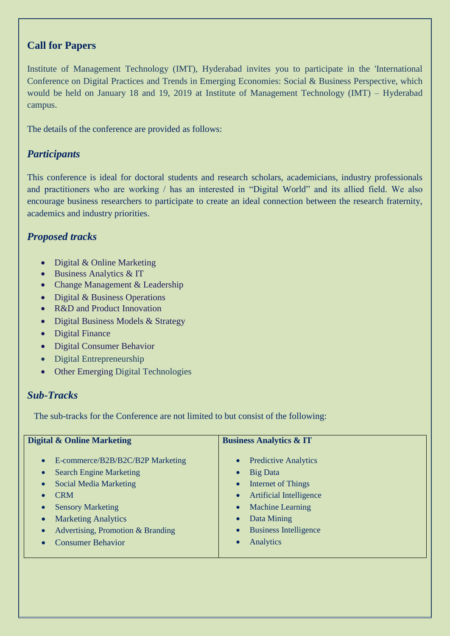## **Call for Papers**

Institute of Management Technology (IMT), Hyderabad invites you to participate in the 'International Conference on Digital Practices and Trends in Emerging Economies: Social & Business Perspective, which would be held on January 18 and 19, 2019 at Institute of Management Technology (IMT) – Hyderabad campus.

The details of the conference are provided as follows:

### *Participants*

This conference is ideal for doctoral students and research scholars, academicians, industry professionals and practitioners who are working / has an interested in "Digital World" and its allied field. We also encourage business researchers to participate to create an ideal connection between the research fraternity, academics and industry priorities.

## *Proposed tracks*

- Digital & Online Marketing
- $\bullet$  Business Analytics & IT
- Change Management & Leadership
- Digital & Business Operations
- R&D and Product Innovation
- Digital Business Models & Strategy
- Digital Finance
- Digital Consumer Behavior
- Digital Entrepreneurship
- Other Emerging Digital Technologies

## *Sub-Tracks*

The sub-tracks for the Conference are not limited to but consist of the following:

| E-commerce/B2B/B2C/B2P Marketing<br><b>Predictive Analytics</b><br>$\bullet$<br>$\bullet$<br><b>Search Engine Marketing</b><br>Big Data<br>$\bullet$<br>$\bullet$<br>Social Media Marketing<br>Internet of Things<br>$\bullet$<br>$\bullet$<br><b>CRM</b><br><b>Artificial Intelligence</b><br>$\bullet$<br>$\bullet$<br><b>Machine Learning</b><br><b>Sensory Marketing</b><br>$\bullet$<br>$\bullet$<br><b>Marketing Analytics</b><br>Data Mining<br>$\bullet$<br>$\bullet$ | <b>Digital &amp; Online Marketing</b>          | <b>Business Analytics &amp; IT</b> |
|-------------------------------------------------------------------------------------------------------------------------------------------------------------------------------------------------------------------------------------------------------------------------------------------------------------------------------------------------------------------------------------------------------------------------------------------------------------------------------|------------------------------------------------|------------------------------------|
| Analytics<br><b>Consumer Behavior</b>                                                                                                                                                                                                                                                                                                                                                                                                                                         | Advertising, Promotion & Branding<br>$\bullet$ | <b>Business Intelligence</b>       |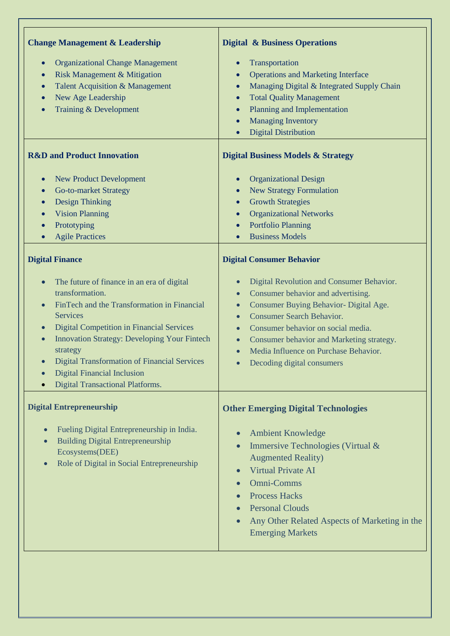| <b>Change Management &amp; Leadership</b><br><b>Organizational Change Management</b><br>Risk Management & Mitigation                                                                                                                                                                                                                                              | <b>Digital &amp; Business Operations</b><br>Transportation<br><b>Operations and Marketing Interface</b>                                                                                                                                                                                                                                                                                                                      |
|-------------------------------------------------------------------------------------------------------------------------------------------------------------------------------------------------------------------------------------------------------------------------------------------------------------------------------------------------------------------|------------------------------------------------------------------------------------------------------------------------------------------------------------------------------------------------------------------------------------------------------------------------------------------------------------------------------------------------------------------------------------------------------------------------------|
| Talent Acquisition & Management<br>New Age Leadership<br>Training & Development                                                                                                                                                                                                                                                                                   | Managing Digital & Integrated Supply Chain<br>$\bullet$<br><b>Total Quality Management</b><br>$\bullet$<br>Planning and Implementation<br><b>Managing Inventory</b><br><b>Digital Distribution</b><br>$\bullet$                                                                                                                                                                                                              |
| <b>R&amp;D</b> and Product Innovation                                                                                                                                                                                                                                                                                                                             | <b>Digital Business Models &amp; Strategy</b>                                                                                                                                                                                                                                                                                                                                                                                |
| <b>New Product Development</b><br><b>Go-to-market Strategy</b><br><b>Design Thinking</b><br><b>Vision Planning</b><br>Prototyping<br><b>Agile Practices</b>                                                                                                                                                                                                       | <b>Organizational Design</b><br><b>New Strategy Formulation</b><br><b>Growth Strategies</b><br><b>Organizational Networks</b><br>$\bullet$<br><b>Portfolio Planning</b><br>$\bullet$<br><b>Business Models</b>                                                                                                                                                                                                               |
| <b>Digital Finance</b><br>The future of finance in an era of digital<br>transformation.<br>FinTech and the Transformation in Financial<br>$\bullet$<br><b>Services</b><br><b>Digital Competition in Financial Services</b><br>$\bullet$<br><b>Innovation Strategy: Developing Your Fintech</b><br>strategy<br><b>Digital Transformation of Financial Services</b> | <b>Digital Consumer Behavior</b><br>Digital Revolution and Consumer Behavior.<br>$\bullet$<br>Consumer behavior and advertising.<br>$\bullet$<br>Consumer Buying Behavior- Digital Age.<br>$\bullet$<br><b>Consumer Search Behavior.</b><br>$\bullet$<br>Consumer behavior on social media.<br>Consumer behavior and Marketing strategy.<br>$\bullet$<br>Media Influence on Purchase Behavior.<br>Decoding digital consumers |
| <b>Digital Financial Inclusion</b><br><b>Digital Transactional Platforms.</b>                                                                                                                                                                                                                                                                                     |                                                                                                                                                                                                                                                                                                                                                                                                                              |
| <b>Digital Entrepreneurship</b><br>Fueling Digital Entrepreneurship in India.<br><b>Building Digital Entrepreneurship</b><br>Ecosystems(DEE)<br>Role of Digital in Social Entrepreneurship                                                                                                                                                                        | <b>Other Emerging Digital Technologies</b><br><b>Ambient Knowledge</b><br>Immersive Technologies (Virtual &<br><b>Augmented Reality</b> )<br><b>Virtual Private AI</b><br>Omni-Comms<br><b>Process Hacks</b><br><b>Personal Clouds</b><br>Any Other Related Aspects of Marketing in the<br><b>Emerging Markets</b>                                                                                                           |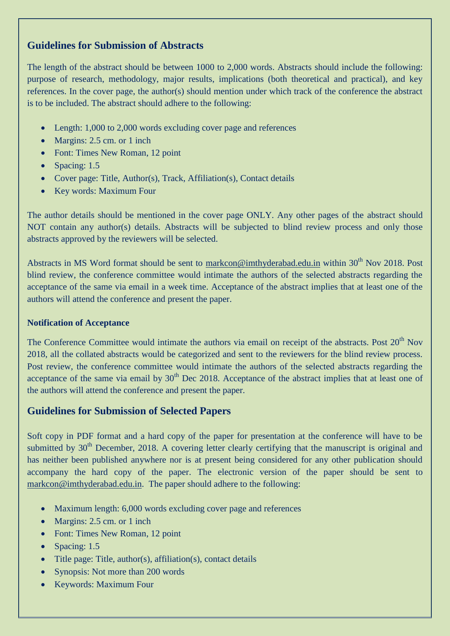## **Guidelines for Submission of Abstracts**

The length of the abstract should be between 1000 to 2,000 words. Abstracts should include the following: purpose of research, methodology, major results, implications (both theoretical and practical), and key references. In the cover page, the author(s) should mention under which track of the conference the abstract is to be included. The abstract should adhere to the following:

- Length: 1,000 to 2,000 words excluding cover page and references
- Margins: 2.5 cm. or 1 inch
- Font: Times New Roman, 12 point
- Spacing:  $1.5$
- Cover page: Title, Author(s), Track, Affiliation(s), Contact details
- Key words: Maximum Four

The author details should be mentioned in the cover page ONLY. Any other pages of the abstract should NOT contain any author(s) details. Abstracts will be subjected to blind review process and only those abstracts approved by the reviewers will be selected.

Abstracts in MS Word format should be sent to [markcon@imthyderabad.edu.in](mailto:markcon@imthyderabad.edu.in) within 30<sup>th</sup> Nov 2018. Post blind review, the conference committee would intimate the authors of the selected abstracts regarding the acceptance of the same via email in a week time. Acceptance of the abstract implies that at least one of the authors will attend the conference and present the paper.

#### **Notification of Acceptance**

The Conference Committee would intimate the authors via email on receipt of the abstracts. Post 20<sup>th</sup> Nov 2018, all the collated abstracts would be categorized and sent to the reviewers for the blind review process. Post review, the conference committee would intimate the authors of the selected abstracts regarding the acceptance of the same via email by  $30<sup>th</sup>$  Dec 2018. Acceptance of the abstract implies that at least one of the authors will attend the conference and present the paper.

## **Guidelines for Submission of Selected Papers**

Soft copy in PDF format and a hard copy of the paper for presentation at the conference will have to be submitted by 30<sup>th</sup> December, 2018. A covering letter clearly certifying that the manuscript is original and has neither been published anywhere nor is at present being considered for any other publication should accompany the hard copy of the paper. The electronic version of the paper should be sent to [markcon@imthyderabad.edu.in.](mailto:markcon@imthyderabad.edu.in) The paper should adhere to the following:

- Maximum length: 6,000 words excluding cover page and references
- Margins: 2.5 cm. or 1 inch
- Font: Times New Roman, 12 point
- Spacing:  $1.5$
- Title page: Title, author(s), affiliation(s), contact details
- Synopsis: Not more than 200 words
- Keywords: Maximum Four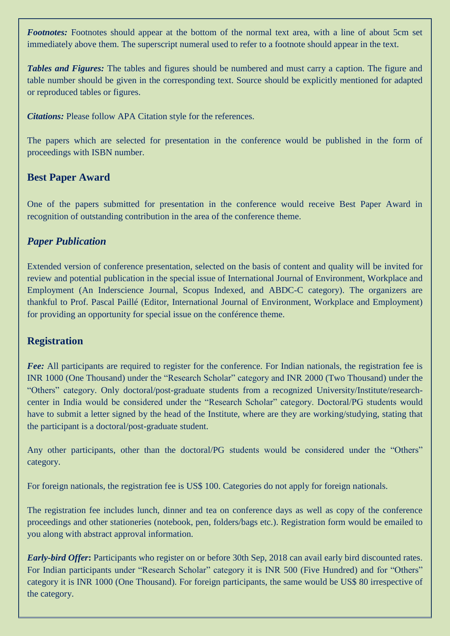*Footnotes:* Footnotes should appear at the bottom of the normal text area, with a line of about 5cm set immediately above them. The superscript numeral used to refer to a footnote should appear in the text.

*Tables and Figures:* The tables and figures should be numbered and must carry a caption. The figure and table number should be given in the corresponding text. Source should be explicitly mentioned for adapted or reproduced tables or figures.

*Citations:* Please follow APA Citation style for the references.

The papers which are selected for presentation in the conference would be published in the form of proceedings with ISBN number.

#### **Best Paper Award**

One of the papers submitted for presentation in the conference would receive Best Paper Award in recognition of outstanding contribution in the area of the conference theme.

### *Paper Publication*

Extended version of conference presentation, selected on the basis of content and quality will be invited for review and potential publication in the special issue of International Journal of Environment, Workplace and Employment (An Inderscience Journal, Scopus Indexed, and ABDC-C category). The organizers are thankful to Prof. Pascal Paillé (Editor, International Journal of Environment, Workplace and Employment) for providing an opportunity for special issue on the conférence theme.

## **Registration**

*Fee:* All participants are required to register for the conference. For Indian nationals, the registration fee is INR 1000 (One Thousand) under the "Research Scholar" category and INR 2000 (Two Thousand) under the "Others" category. Only doctoral/post-graduate students from a recognized University/Institute/researchcenter in India would be considered under the "Research Scholar" category. Doctoral/PG students would have to submit a letter signed by the head of the Institute, where are they are working/studying, stating that the participant is a doctoral/post-graduate student.

Any other participants, other than the doctoral/PG students would be considered under the "Others" category.

For foreign nationals, the registration fee is US\$ 100. Categories do not apply for foreign nationals.

The registration fee includes lunch, dinner and tea on conference days as well as copy of the conference proceedings and other stationeries (notebook, pen, folders/bags etc.). Registration form would be emailed to you along with abstract approval information.

*Early-bird Offer***:** Participants who register on or before 30th Sep, 2018 can avail early bird discounted rates. For Indian participants under "Research Scholar" category it is INR 500 (Five Hundred) and for "Others" category it is INR 1000 (One Thousand). For foreign participants, the same would be US\$ 80 irrespective of the category.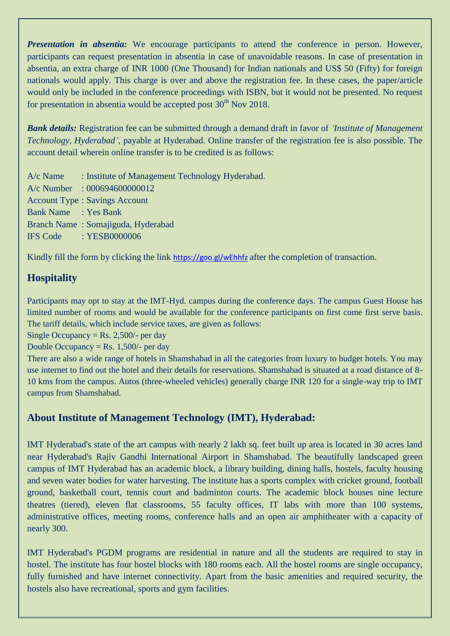**Presentation in absentia:** We encourage participants to attend the conference in person. However, participants can request presentation in absentia in case of unavoidable reasons. In case of presentation in absentia, an extra charge of INR 1000 (One Thousand) for Indian nationals and US\$ 50 (Fifty) for foreign nationals would apply. This charge is over and above the registration fee. In these cases, the paper/article would only be included in the conference proceedings with ISBN, but it would not be presented. No request for presentation in absentia would be accepted post  $30<sup>th</sup>$  Nov 2018.

*Bank details:* Registration fee can be submitted through a demand draft in favor of *'Institute of Management Technology, Hyderabad'*, payable at Hyderabad. Online transfer of the registration fee is also possible. The account detail wherein online transfer is to be credited is as follows:

A/c Name : Institute of Management Technology Hyderabad. A/c Number : 000694600000012 Account Type : Savings Account Bank Name : Yes Bank Branch Name : Somajiguda, Hyderabad IFS Code : YESB0000006

Kindly fill the form by clicking the link <https://goo.gl/wEhhfz> after the completion of transaction.

## **Hospitality**

Participants may opt to stay at the IMT-Hyd. campus during the conference days. The campus Guest House has limited number of rooms and would be available for the conference participants on first come first serve basis. The tariff details, which include service taxes, are given as follows:

Single Occupancy = Rs. 2,500/- per day

Double Occupancy = Rs.  $1,500/$ - per day

There are also a wide range of hotels in Shamshabad in all the categories from luxury to budget hotels. You may use internet to find out the hotel and their details for reservations. Shamshabad is situated at a road distance of 8- 10 kms from the campus. Autos (three-wheeled vehicles) generally charge INR 120 for a single-way trip to IMT campus from Shamshabad.

## **About Institute of Management Technology (IMT), Hyderabad:**

IMT Hyderabad's state of the art campus with nearly 2 lakh sq. feet built up area is located in 30 acres land near Hyderabad's Rajiv Gandhi International Airport in Shamshabad. The beautifully landscaped green campus of IMT Hyderabad has an academic block, a library building, dining halls, hostels, faculty housing and seven water bodies for water harvesting. The institute has a sports complex with cricket ground, football ground, basketball court, tennis court and badminton courts. The academic block houses nine lecture theatres (tiered), eleven flat classrooms, 55 faculty offices, IT labs with more than 100 systems, administrative offices, meeting rooms, conference halls and an open air amphitheater with a capacity of nearly 300.

IMT Hyderabad's PGDM programs are residential in nature and all the students are required to stay in hostel. The institute has four hostel blocks with 180 rooms each. All the hostel rooms are single occupancy, fully furnished and have internet connectivity. Apart from the basic amenities and required security, the hostels also have recreational, sports and gym facilities.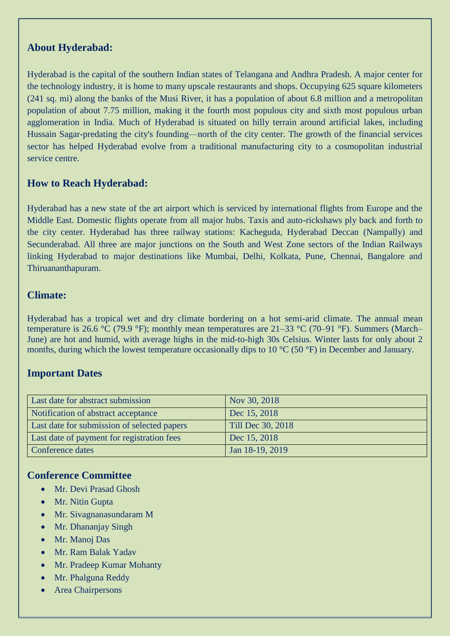## **About Hyderabad:**

Hyderabad is the capital of the southern Indian states of Telangana and Andhra Pradesh. A major center for the technology industry, it is home to many upscale restaurants and shops. Occupying 625 square kilometers (241 sq. mi) along the banks of the Musi River, it has a population of about 6.8 million and a metropolitan population of about 7.75 million, making it the fourth most populous city and sixth most populous urban agglomeration in India. Much of Hyderabad is situated on hilly terrain around artificial lakes, including Hussain Sagar-predating the city's founding—north of the city center. The growth of the financial services sector has helped Hyderabad evolve from a traditional manufacturing city to a cosmopolitan industrial service centre.

## **How to Reach Hyderabad:**

Hyderabad has a new state of the art airport which is serviced by international flights from Europe and the Middle East. Domestic flights operate from all major hubs. Taxis and auto-rickshaws ply back and forth to the city center. Hyderabad has three railway stations: Kacheguda, Hyderabad Deccan (Nampally) and Secunderabad. All three are major junctions on the South and West Zone sectors of the Indian Railways linking Hyderabad to major destinations like Mumbai, Delhi, Kolkata, Pune, Chennai, Bangalore and Thiruananthapuram.

### **Climate:**

Hyderabad has a tropical wet and dry climate bordering on a hot semi-arid climate. The annual mean temperature is 26.6 °C (79.9 °F); monthly mean temperatures are 21–33 °C (70–91 °F). Summers (March– June) are hot and humid, with average highs in the mid-to-high 30s Celsius. Winter lasts for only about 2 months, during which the lowest temperature occasionally dips to 10  $^{\circ}$ C (50  $^{\circ}$ F) in December and January.

## **Important Dates**

| Last date for abstract submission           | Nov 30, 2018      |
|---------------------------------------------|-------------------|
| Notification of abstract acceptance         | Dec 15, 2018      |
| Last date for submission of selected papers | Till Dec 30, 2018 |
| Last date of payment for registration fees  | Dec 15, 2018      |
| Conference dates                            | Jan 18-19, 2019   |

## **Conference Committee**

- Mr. Devi Prasad Ghosh
- Mr. Nitin Gupta
- Mr. Sivagnanasundaram M
- Mr. Dhananjay Singh
- Mr. Manoj Das
- Mr. Ram Balak Yadav
- Mr. Pradeep Kumar Mohanty
- Mr. Phalguna Reddy
- Area Chairpersons